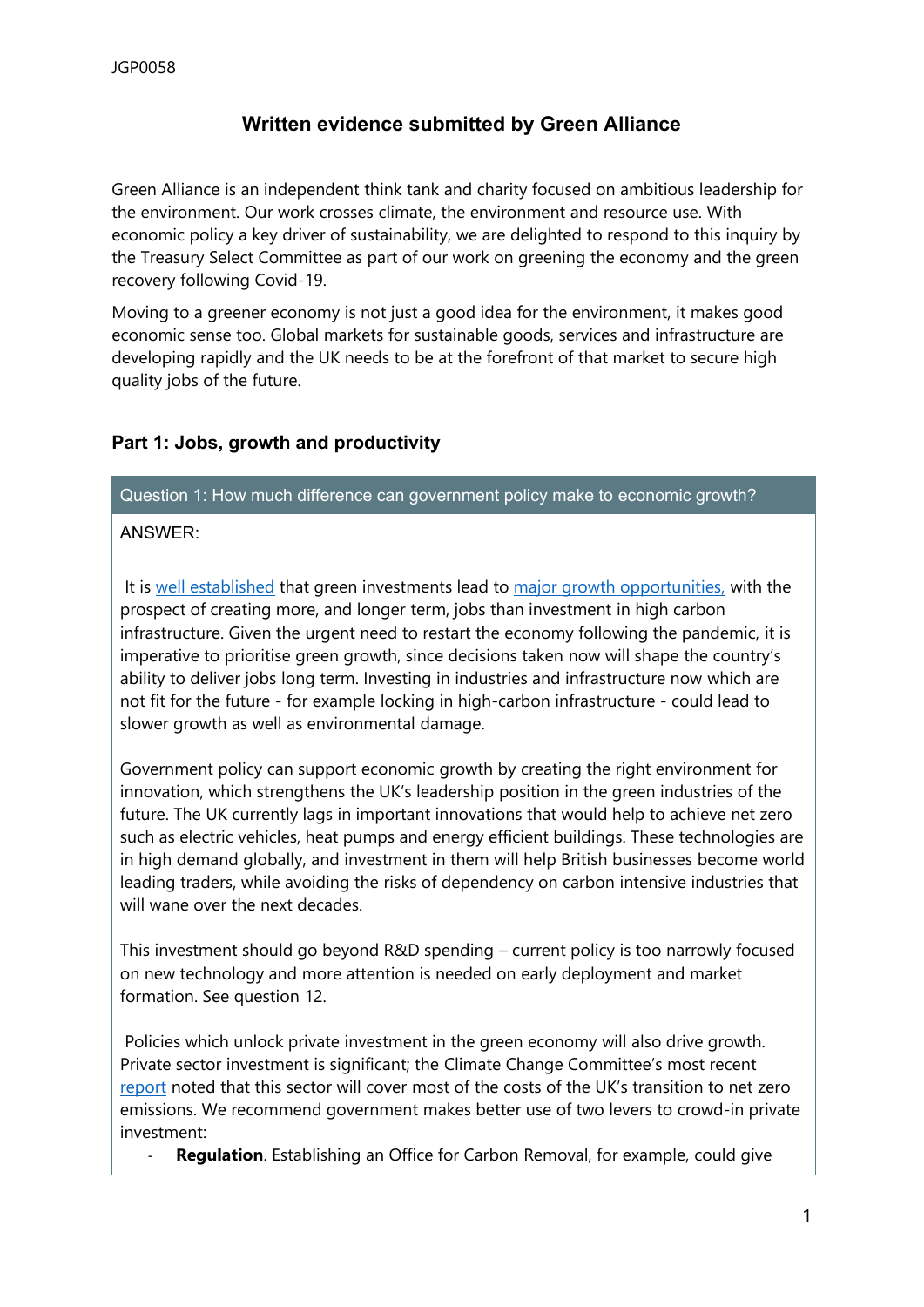# **Written evidence submitted by Green Alliance**

Green Alliance is an independent think tank and charity focused on ambitious leadership for the environment. Our work crosses climate, the environment and resource use. With economic policy a key driver of sustainability, we are delighted to respond to this inquiry by the Treasury Select Committee as part of our work on greening the economy and the green recovery following Covid-19.

Moving to a greener economy is not just a good idea for the environment, it makes good economic sense too. Global markets for sustainable goods, services and infrastructure are developing rapidly and the UK needs to be at the forefront of that market to secure high quality jobs of the future.

# **Part 1: Jobs, growth and productivity**

Question 1: How much difference can government policy make to economic growth?

## ANSWER:

It is [well](https://www.smithschool.ox.ac.uk/publications/wpapers/workingpaper20-02.pdf) [established](https://www.smithschool.ox.ac.uk/publications/wpapers/workingpaper20-02.pdf) that green investments lead to [major](http://cep.lse.ac.uk/pubs/download/cepcovid-19-010.pdf) [growth](http://cep.lse.ac.uk/pubs/download/cepcovid-19-010.pdf) [opportunities,](http://cep.lse.ac.uk/pubs/download/cepcovid-19-010.pdf) with the prospect of creating more, and longer term, jobs than investment in high carbon infrastructure. Given the urgent need to restart the economy following the pandemic, it is imperative to prioritise green growth, since decisions taken now will shape the country's ability to deliver jobs long term. Investing in industries and infrastructure now which are not fit for the future - for example locking in high-carbon infrastructure - could lead to slower growth as well as environmental damage.

Government policy can support economic growth by creating the right environment for innovation, which strengthens the UK's leadership position in the green industries of the future. The UK currently lags in important innovations that would help to achieve net zero such as electric vehicles, heat pumps and energy efficient buildings. These technologies are in high demand globally, and investment in them will help British businesses become world leading traders, while avoiding the risks of dependency on carbon intensive industries that will wane over the next decades.

This investment should go beyond R&D spending – current policy is too narrowly focused on new technology and more attention is needed on early deployment and market formation. See question 12.

Policies which unlock private investment in the green economy will also drive growth. Private sector investment is significant; the Climate Change Committee's most recent [report](https://www.theccc.org.uk/wp-content/uploads/2020/12/The-Sixth-Carbon-Budget-The-UKs-path-to-Net-Zero.pdf) noted that this sector will cover most of the costs of the UK's transition to net zero emissions. We recommend government makes better use of two levers to crowd-in private investment:

**Regulation**. Establishing an Office for Carbon Removal, for example, could give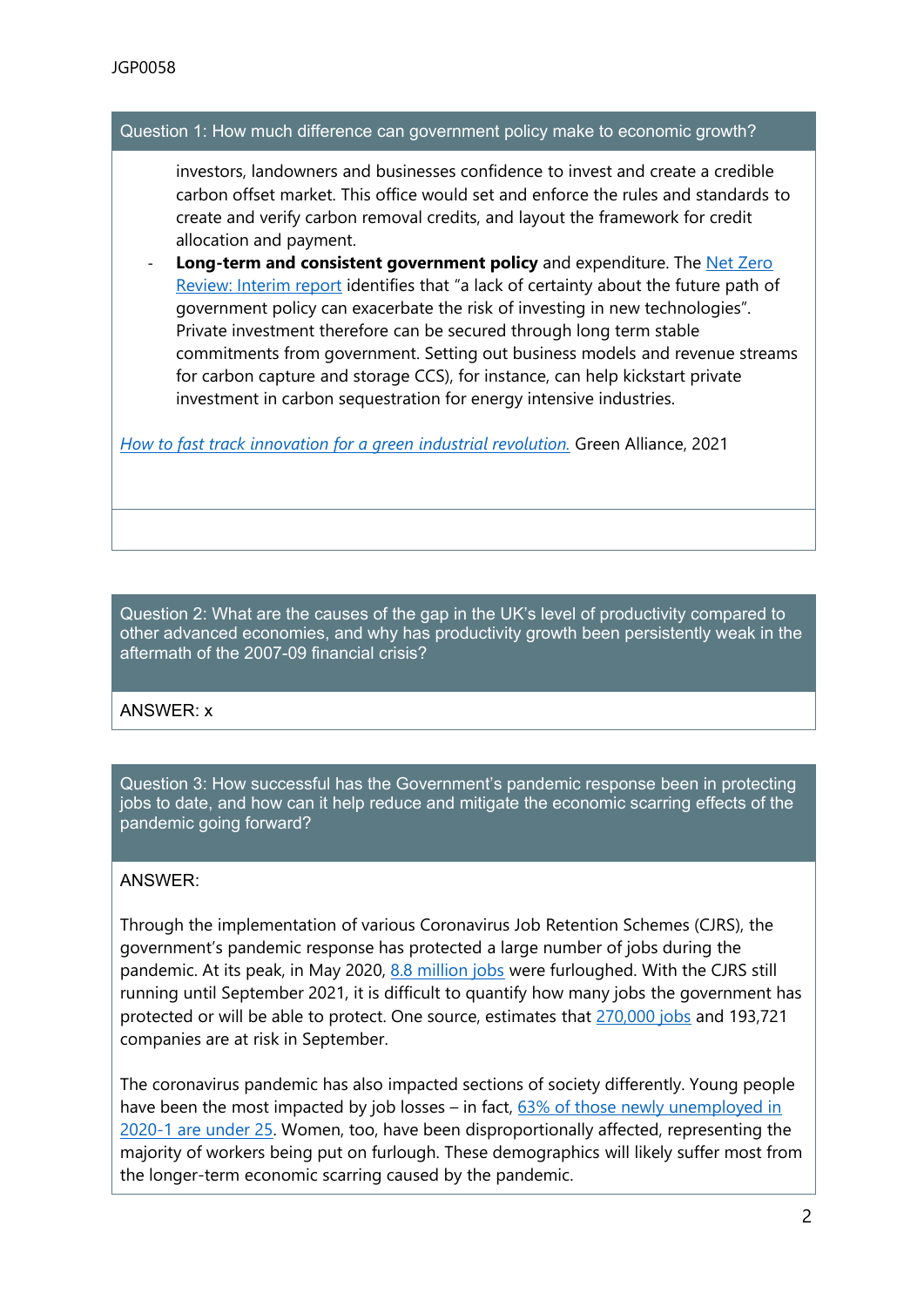#### Question 1: How much difference can government policy make to economic growth?

investors, landowners and businesses confidence to invest and create a credible carbon offset market. This office would set and enforce the rules and standards to create and verify carbon removal credits, and layout the framework for credit allocation and payment.

- **Long-term and consistent government policy** and expenditure. The [Net](https://assets.publishing.service.gov.uk/government/uploads/system/uploads/attachment_data/file/945827/Net_Zero_Review_interim_report.pdf) [Zero](https://assets.publishing.service.gov.uk/government/uploads/system/uploads/attachment_data/file/945827/Net_Zero_Review_interim_report.pdf) [Review:](https://assets.publishing.service.gov.uk/government/uploads/system/uploads/attachment_data/file/945827/Net_Zero_Review_interim_report.pdf) [Interim](https://assets.publishing.service.gov.uk/government/uploads/system/uploads/attachment_data/file/945827/Net_Zero_Review_interim_report.pdf) [report](https://assets.publishing.service.gov.uk/government/uploads/system/uploads/attachment_data/file/945827/Net_Zero_Review_interim_report.pdf) identifies that "a lack of certainty about the future path of government policy can exacerbate the risk of investing in new technologies". Private investment therefore can be secured through long term stable commitments from government. Setting out business models and revenue streams for carbon capture and storage CCS), for instance, can help kickstart private investment in carbon sequestration for energy intensive industries.

*[How](https://green-alliance.org.uk/resources/Fast_tracking_green_innovation.pdf) [to](https://green-alliance.org.uk/resources/Fast_tracking_green_innovation.pdf) [fast](https://green-alliance.org.uk/resources/Fast_tracking_green_innovation.pdf) [track](https://green-alliance.org.uk/resources/Fast_tracking_green_innovation.pdf) [innovation](https://green-alliance.org.uk/resources/Fast_tracking_green_innovation.pdf) [for](https://green-alliance.org.uk/resources/Fast_tracking_green_innovation.pdf) [a](https://green-alliance.org.uk/resources/Fast_tracking_green_innovation.pdf) [green](https://green-alliance.org.uk/resources/Fast_tracking_green_innovation.pdf) [industrial](https://green-alliance.org.uk/resources/Fast_tracking_green_innovation.pdf) [revolution.](https://green-alliance.org.uk/resources/Fast_tracking_green_innovation.pdf)* Green Alliance, 2021

Question 2: What are the causes of the gap in the UK's level of productivity compared to other advanced economies, and why has productivity growth been persistently weak in the aftermath of the 2007-09 financial crisis?

## ANSWER: x

Question 3: How successful has the Government's pandemic response been in protecting jobs to date, and how can it help reduce and mitigate the economic scarring effects of the pandemic going forward?

#### ANSWER:

Through the implementation of various Coronavirus Job Retention Schemes (CJRS), the government's pandemic response has protected a large number of jobs during the pandemic. At its peak, in May 2020, [8.8](https://www.statista.com/statistics/1116638/uk-number-of-people-on-furlough/) [million](https://www.statista.com/statistics/1116638/uk-number-of-people-on-furlough/) [jobs](https://www.statista.com/statistics/1116638/uk-number-of-people-on-furlough/) were furloughed. With the CJRS still running until September 2021, it is difficult to quantify how many jobs the government has protected or will be able to protect. One source, estimates that [270,000](https://www.business-live.co.uk/economic-development/end-furlough-trigger-275000-job-20087409) [jobs](https://www.business-live.co.uk/economic-development/end-furlough-trigger-275000-job-20087409) and 193,721 companies are at risk in September.

The coronavirus pandemic has also impacted sections of society differently. Young people have been the most impacted by job losses – in fact, [63%](https://green-alliance.org.uk/resources/Jobs_for_a_green_recovery.pdf) [of](https://green-alliance.org.uk/resources/Jobs_for_a_green_recovery.pdf) [those](https://green-alliance.org.uk/resources/Jobs_for_a_green_recovery.pdf) [newly](https://green-alliance.org.uk/resources/Jobs_for_a_green_recovery.pdf) [unemployed](https://green-alliance.org.uk/resources/Jobs_for_a_green_recovery.pdf) [in](https://green-alliance.org.uk/resources/Jobs_for_a_green_recovery.pdf) [2020-1](https://green-alliance.org.uk/resources/Jobs_for_a_green_recovery.pdf) [are](https://green-alliance.org.uk/resources/Jobs_for_a_green_recovery.pdf) [under](https://green-alliance.org.uk/resources/Jobs_for_a_green_recovery.pdf) [25.](https://green-alliance.org.uk/resources/Jobs_for_a_green_recovery.pdf) Women, too, have been disproportionally affected, representing the majority of workers being put on furlough. These demographics will likely suffer most from the longer-term economic scarring caused by the pandemic.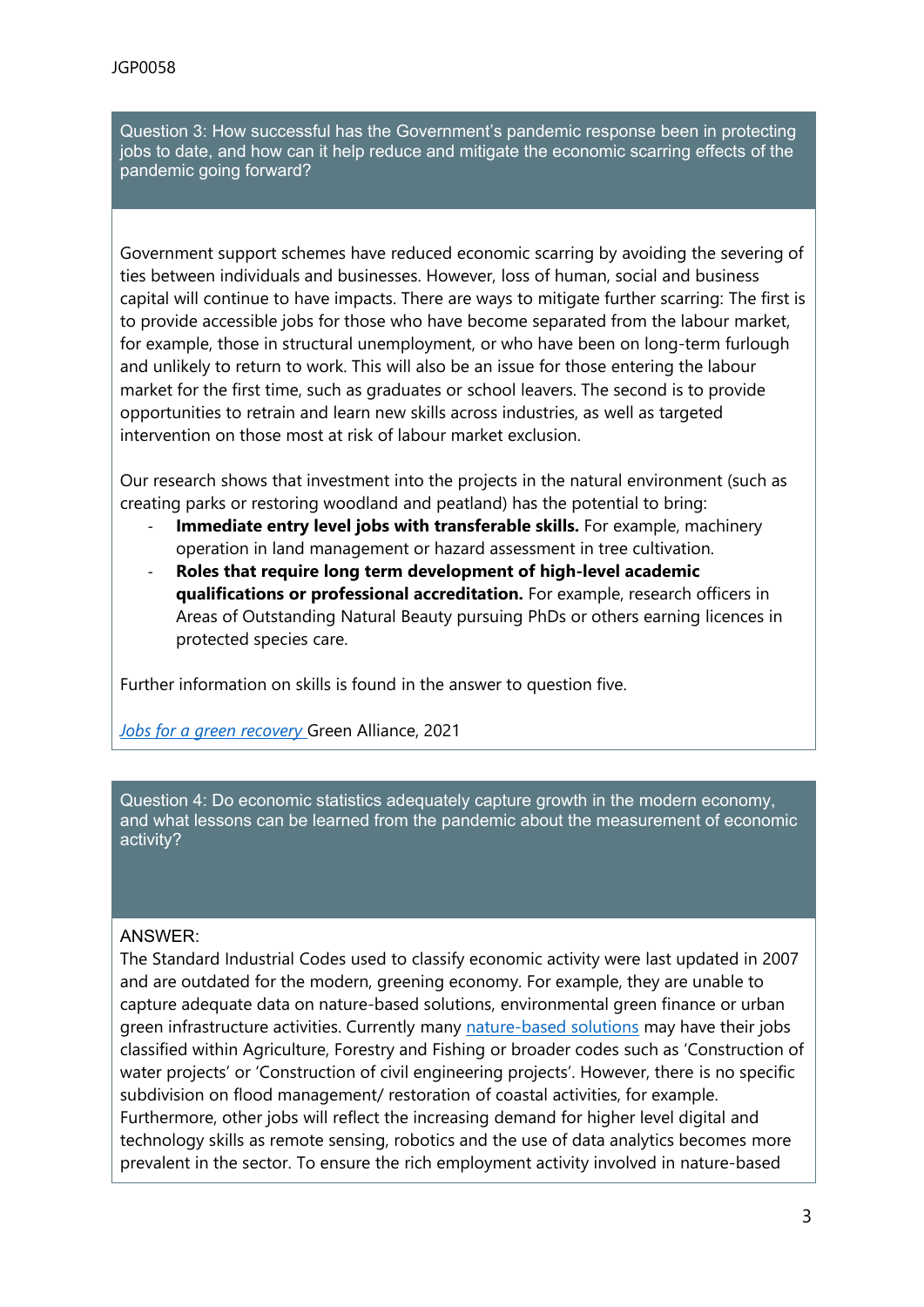Question 3: How successful has the Government's pandemic response been in protecting jobs to date, and how can it help reduce and mitigate the economic scarring effects of the pandemic going forward?

Government support schemes have reduced economic scarring by avoiding the severing of ties between individuals and businesses. However, loss of human, social and business capital will continue to have impacts. There are ways to mitigate further scarring: The first is to provide accessible jobs for those who have become separated from the labour market, for example, those in structural unemployment, or who have been on long-term furlough and unlikely to return to work. This will also be an issue for those entering the labour market for the first time, such as graduates or school leavers. The second is to provide opportunities to retrain and learn new skills across industries, as well as targeted intervention on those most at risk of labour market exclusion.

Our research shows that investment into the projects in the natural environment (such as creating parks or restoring woodland and peatland) has the potential to bring:

- **Immediate entry level jobs with transferable skills.** For example, machinery operation in land management or hazard assessment in tree cultivation.
- **Roles that require long term development of high-level academic qualifications or professional accreditation.** For example, research officers in Areas of Outstanding Natural Beauty pursuing PhDs or others earning licences in protected species care.

Further information on skills is found in the answer to question five.

*[Jobs](https://green-alliance.org.uk/resources/Jobs_for_a_green_recovery.pdf) [for](https://green-alliance.org.uk/resources/Jobs_for_a_green_recovery.pdf) [a](https://green-alliance.org.uk/resources/Jobs_for_a_green_recovery.pdf) [green](https://green-alliance.org.uk/resources/Jobs_for_a_green_recovery.pdf) [recovery](https://green-alliance.org.uk/resources/Jobs_for_a_green_recovery.pdf)* [G](https://green-alliance.org.uk/resources/Jobs_for_a_green_recovery.pdf)reen Alliance, 2021

Question 4: Do economic statistics adequately capture growth in the modern economy, and what lessons can be learned from the pandemic about the measurement of economic activity?

#### ANSWER:

The Standard Industrial Codes used to classify economic activity were last updated in 2007 and are outdated for the modern, greening economy. For example, they are unable to capture adequate data on nature-based solutions, environmental green finance or urban green infrastructure activities. Currently many [nature-based](https://green-alliance.org.uk/resources/Jobs_for_a_green_recovery.pdf) [solutions](https://green-alliance.org.uk/resources/Jobs_for_a_green_recovery.pdf) may have their jobs classified within Agriculture, Forestry and Fishing or broader codes such as 'Construction of water projects' or 'Construction of civil engineering projects'. However, there is no specific subdivision on flood management/ restoration of coastal activities, for example. Furthermore, other jobs will reflect the increasing demand for higher level digital and technology skills as remote sensing, robotics and the use of data analytics becomes more prevalent in the sector. To ensure the rich employment activity involved in nature-based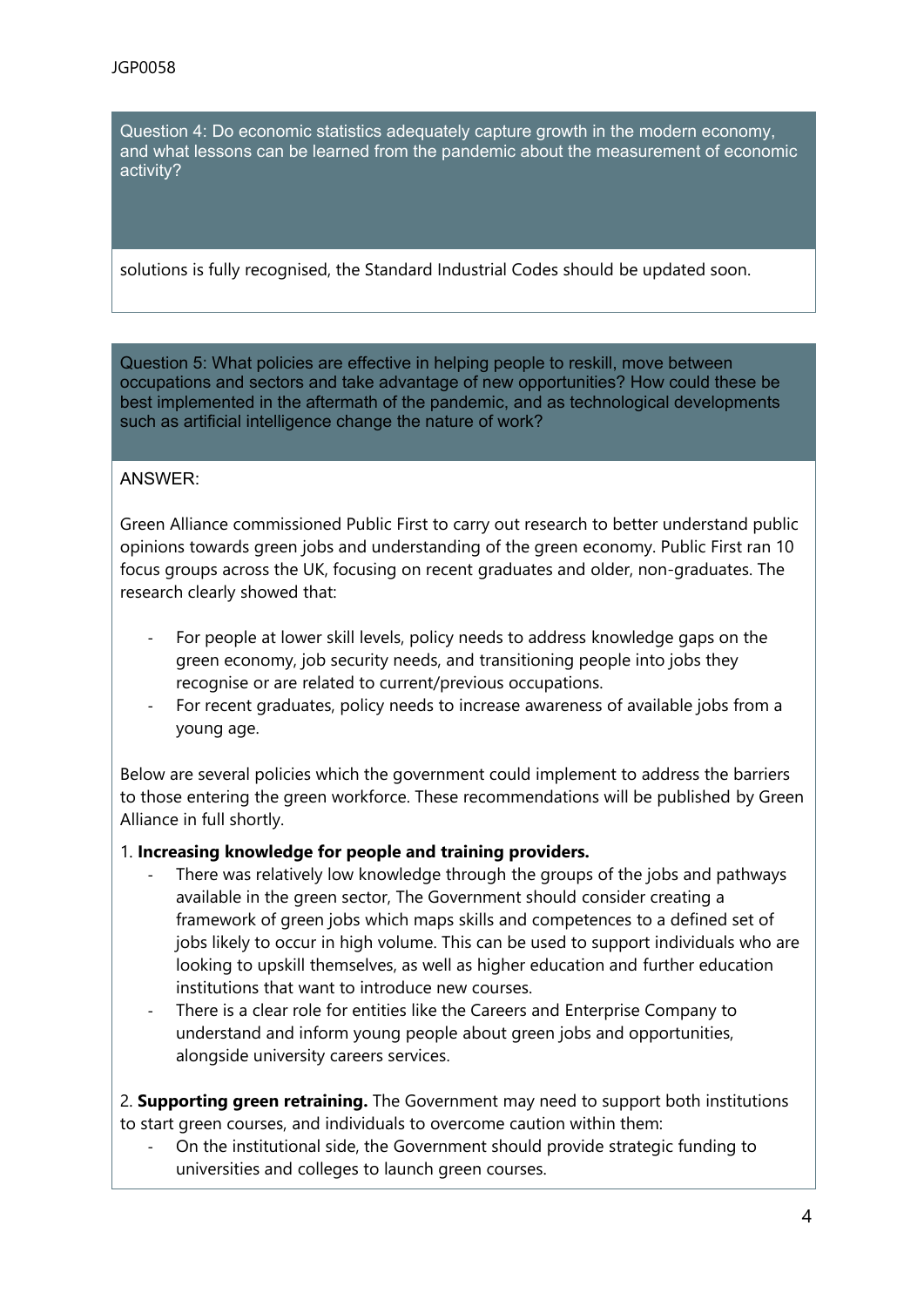Question 4: Do economic statistics adequately capture growth in the modern economy, and what lessons can be learned from the pandemic about the measurement of economic activity?

solutions is fully recognised, the Standard Industrial Codes should be updated soon.

Question 5: What policies are effective in helping people to reskill, move between occupations and sectors and take advantage of new opportunities? How could these be best implemented in the aftermath of the pandemic, and as technological developments such as artificial intelligence change the nature of work?

#### ANSWER:

Green Alliance commissioned Public First to carry out research to better understand public opinions towards green jobs and understanding of the green economy. Public First ran 10 focus groups across the UK, focusing on recent graduates and older, non-graduates. The research clearly showed that:

- For people at lower skill levels, policy needs to address knowledge gaps on the green economy, job security needs, and transitioning people into jobs they recognise or are related to current/previous occupations.
- For recent graduates, policy needs to increase awareness of available jobs from a young age.

Below are several policies which the government could implement to address the barriers to those entering the green workforce. These recommendations will be published by Green Alliance in full shortly.

#### 1. **Increasing knowledge for people and training providers.**

- There was relatively low knowledge through the groups of the jobs and pathways available in the green sector, The Government should consider creating a framework of green jobs which maps skills and competences to a defined set of jobs likely to occur in high volume. This can be used to support individuals who are looking to upskill themselves, as well as higher education and further education institutions that want to introduce new courses.
- There is a clear role for entities like the Careers and Enterprise Company to understand and inform young people about green jobs and opportunities, alongside university careers services.

2. **Supporting green retraining.** The Government may need to support both institutions to start green courses, and individuals to overcome caution within them:

- On the institutional side, the Government should provide strategic funding to universities and colleges to launch green courses.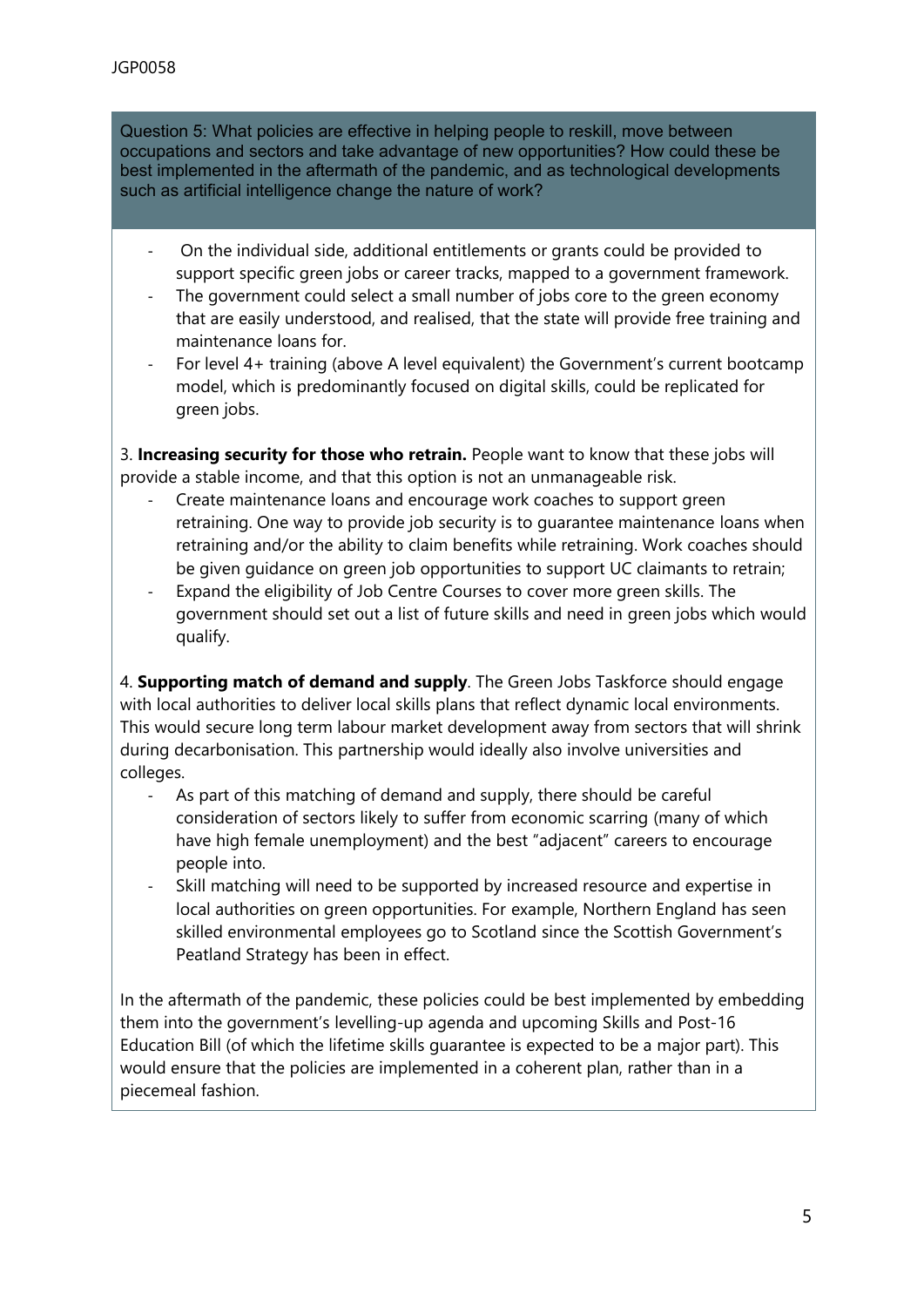Question 5: What policies are effective in helping people to reskill, move between occupations and sectors and take advantage of new opportunities? How could these be best implemented in the aftermath of the pandemic, and as technological developments such as artificial intelligence change the nature of work?

- On the individual side, additional entitlements or grants could be provided to support specific green jobs or career tracks, mapped to a government framework.
- The government could select a small number of jobs core to the green economy that are easily understood, and realised, that the state will provide free training and maintenance loans for.
- For level 4+ training (above A level equivalent) the Government's current bootcamp model, which is predominantly focused on digital skills, could be replicated for green jobs.

3. **Increasing security for those who retrain.** People want to know that these jobs will provide a stable income, and that this option is not an unmanageable risk.

- Create maintenance loans and encourage work coaches to support green retraining. One way to provide job security is to guarantee maintenance loans when retraining and/or the ability to claim benefits while retraining. Work coaches should be given guidance on green job opportunities to support UC claimants to retrain;
- Expand the eligibility of Job Centre Courses to cover more green skills. The government should set out a list of future skills and need in green jobs which would qualify.

4. **Supporting match of demand and supply**. The Green Jobs Taskforce should engage with local authorities to deliver local skills plans that reflect dynamic local environments. This would secure long term labour market development away from sectors that will shrink during decarbonisation. This partnership would ideally also involve universities and colleges.

- As part of this matching of demand and supply, there should be careful consideration of sectors likely to suffer from economic scarring (many of which have high female unemployment) and the best "adjacent" careers to encourage people into.
- Skill matching will need to be supported by increased resource and expertise in local authorities on green opportunities. For example, Northern England has seen skilled environmental employees go to Scotland since the Scottish Government's Peatland Strategy has been in effect.

In the aftermath of the pandemic, these policies could be best implemented by embedding them into the government's levelling-up agenda and upcoming Skills and Post-16 Education Bill (of which the lifetime skills guarantee is expected to be a major part). This would ensure that the policies are implemented in a coherent plan, rather than in a piecemeal fashion.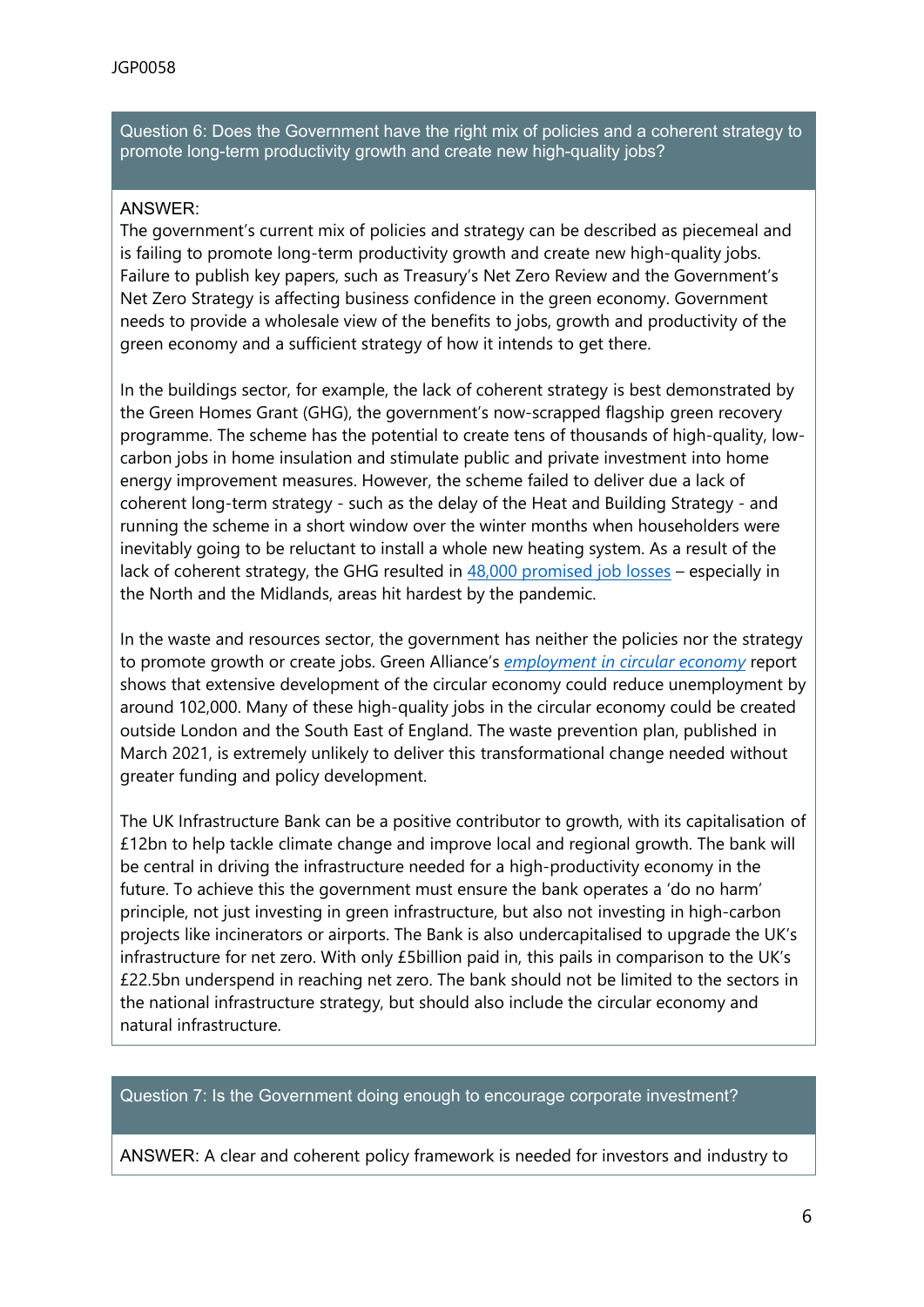Question 6: Does the Government have the right mix of policies and a coherent strategy to promote long-term productivity growth and create new high-quality jobs?

## ANSWER:

The government's current mix of policies and strategy can be described as piecemeal and is failing to promote long-term productivity growth and create new high-quality jobs. Failure to publish key papers, such as Treasury's Net Zero Review and the Government's Net Zero Strategy is affecting business confidence in the green economy. Government needs to provide a wholesale view of the benefits to jobs, growth and productivity of the green economy and a sufficient strategy of how it intends to get there.

In the buildings sector, for example, the lack of coherent strategy is best demonstrated by the Green Homes Grant (GHG), the government's now-scrapped flagship green recovery programme. The scheme has the potential to create tens of thousands of high-quality, lowcarbon jobs in home insulation and stimulate public and private investment into home energy improvement measures. However, the scheme failed to deliver due a lack of coherent long-term strategy - such as the delay of the Heat and Building Strategy - and running the scheme in a short window over the winter months when householders were inevitably going to be reluctant to install a whole new heating system. As a result of the lack of coherent strategy, the GHG resulted in [48,000](https://inews.co.uk/news/environment/green-homes-grant-government-scheme-winding-down-north-midlands-job-losses-903744) [promised](https://inews.co.uk/news/environment/green-homes-grant-government-scheme-winding-down-north-midlands-job-losses-903744) [job](https://inews.co.uk/news/environment/green-homes-grant-government-scheme-winding-down-north-midlands-job-losses-903744) [losses](https://inews.co.uk/news/environment/green-homes-grant-government-scheme-winding-down-north-midlands-job-losses-903744) – especially in the North and the Midlands, areas hit hardest by the pandemic.

In the waste and resources sector, the government has neither the policies nor the strategy to promote growth or create jobs. Green Alliance's *[employment](https://green-alliance.org.uk/resources/Employment%20and%20the%20circular%20economy.pdf) [in](https://green-alliance.org.uk/resources/Employment%20and%20the%20circular%20economy.pdf) [circular](https://green-alliance.org.uk/resources/Employment%20and%20the%20circular%20economy.pdf) [economy](https://green-alliance.org.uk/resources/Employment%20and%20the%20circular%20economy.pdf)* report shows that extensive development of the circular economy could reduce unemployment by around 102,000. Many of these high-quality jobs in the circular economy could be created outside London and the South East of England. The waste prevention plan, published in March 2021, is extremely unlikely to deliver this transformational change needed without greater funding and policy development.

The UK Infrastructure Bank can be a positive contributor to growth, with its capitalisation of £12bn to help tackle climate change and improve local and regional growth. The bank will be central in driving the infrastructure needed for a high-productivity economy in the future. To achieve this the government must ensure the bank operates a 'do no harm' principle, not just investing in green infrastructure, but also not investing in high-carbon projects like incinerators or airports. The Bank is also undercapitalised to upgrade the UK's infrastructure for net zero. With only £5billion paid in, this pails in comparison to the UK's £22.5bn underspend in reaching net zero. The bank should not be limited to the sectors in the national infrastructure strategy, but should also include the circular economy and natural infrastructure.

#### Question 7: Is the Government doing enough to encourage corporate investment?

ANSWER: A clear and coherent policy framework is needed for investors and industry to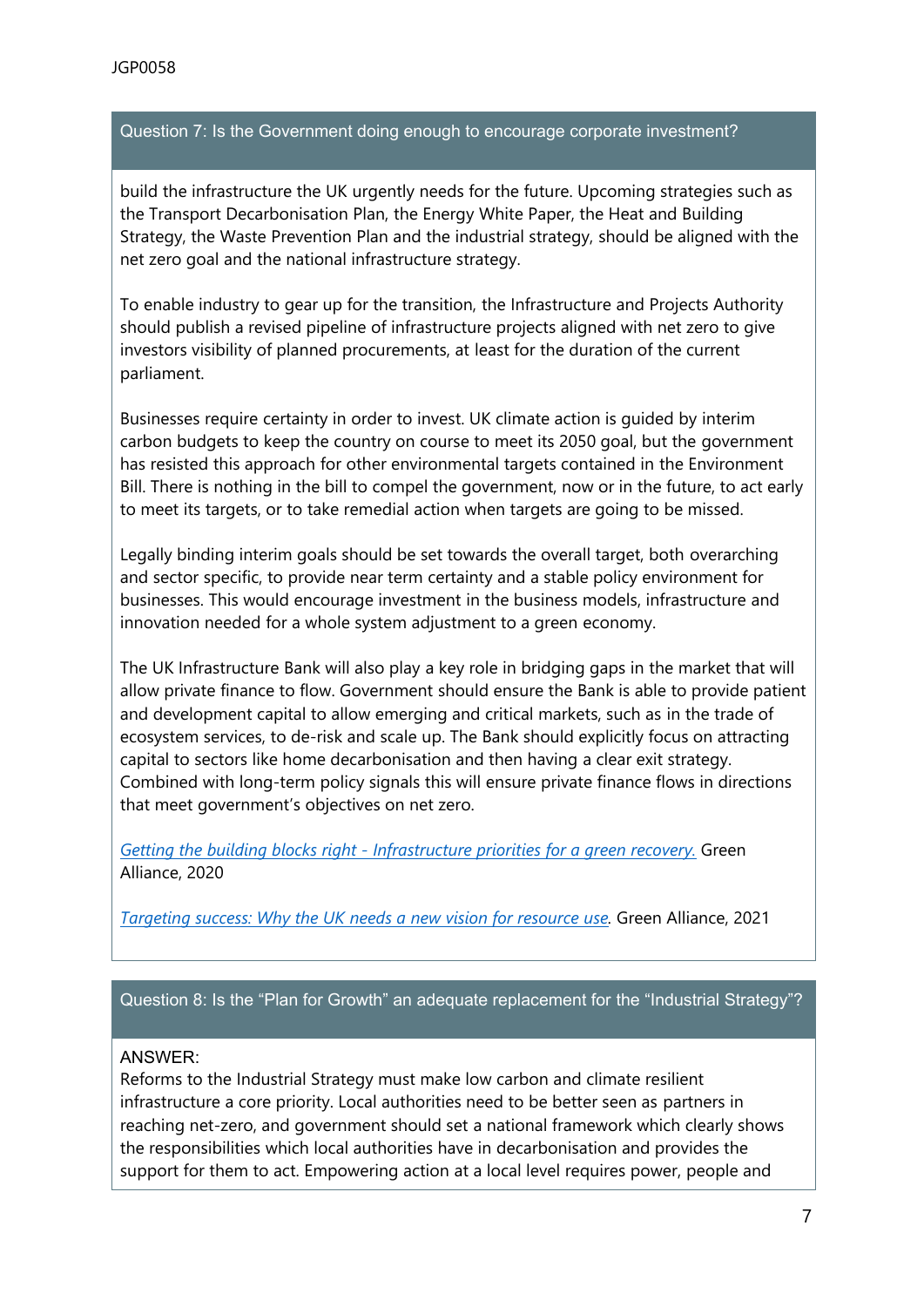## Question 7: Is the Government doing enough to encourage corporate investment?

build the infrastructure the UK urgently needs for the future. Upcoming strategies such as the Transport Decarbonisation Plan, the Energy White Paper, the Heat and Building Strategy, the Waste Prevention Plan and the industrial strategy, should be aligned with the net zero goal and the national infrastructure strategy.

To enable industry to gear up for the transition, the Infrastructure and Projects Authority should publish a revised pipeline of infrastructure projects aligned with net zero to give investors visibility of planned procurements, at least for the duration of the current parliament.

Businesses require certainty in order to invest. UK climate action is guided by interim carbon budgets to keep the country on course to meet its 2050 goal, but the government has resisted this approach for other environmental targets contained in the Environment Bill. There is nothing in the bill to compel the government, now or in the future, to act early to meet its targets, or to take remedial action when targets are going to be missed.

Legally binding interim goals should be set towards the overall target, both overarching and sector specific, to provide near term certainty and a stable policy environment for businesses. This would encourage investment in the business models, infrastructure and innovation needed for a whole system adjustment to a green economy.

The UK Infrastructure Bank will also play a key role in bridging gaps in the market that will allow private finance to flow. Government should ensure the Bank is able to provide patient and development capital to allow emerging and critical markets, such as in the trade of ecosystem services, to de-risk and scale up. The Bank should explicitly focus on attracting capital to sectors like home decarbonisation and then having a clear exit strategy. Combined with long-term policy signals this will ensure private finance flows in directions that meet government's objectives on net zero.

*[Getting](https://green-alliance.org.uk/resources/Getting_the_building_blocks_right.pdf) [the](https://green-alliance.org.uk/resources/Getting_the_building_blocks_right.pdf) [building](https://green-alliance.org.uk/resources/Getting_the_building_blocks_right.pdf) [blocks](https://green-alliance.org.uk/resources/Getting_the_building_blocks_right.pdf) [right](https://green-alliance.org.uk/resources/Getting_the_building_blocks_right.pdf) [-](https://green-alliance.org.uk/resources/Getting_the_building_blocks_right.pdf) [Infrastructure](https://green-alliance.org.uk/resources/Getting_the_building_blocks_right.pdf) [priorities](https://green-alliance.org.uk/resources/Getting_the_building_blocks_right.pdf) [for](https://green-alliance.org.uk/resources/Getting_the_building_blocks_right.pdf) [a](https://green-alliance.org.uk/resources/Getting_the_building_blocks_right.pdf) [green](https://green-alliance.org.uk/resources/Getting_the_building_blocks_right.pdf) [recovery.](https://green-alliance.org.uk/resources/Getting_the_building_blocks_right.pdf)* Green Alliance, 2020

*[Targeting](https://green-alliance.org.uk/resources/Targeting_success.pdf) [success:](https://green-alliance.org.uk/resources/Targeting_success.pdf) [Why](https://green-alliance.org.uk/resources/Targeting_success.pdf) [the](https://green-alliance.org.uk/resources/Targeting_success.pdf) [UK](https://green-alliance.org.uk/resources/Targeting_success.pdf) [needs](https://green-alliance.org.uk/resources/Targeting_success.pdf) [a](https://green-alliance.org.uk/resources/Targeting_success.pdf) [new](https://green-alliance.org.uk/resources/Targeting_success.pdf) [vision](https://green-alliance.org.uk/resources/Targeting_success.pdf) [for](https://green-alliance.org.uk/resources/Targeting_success.pdf) [resource](https://green-alliance.org.uk/resources/Targeting_success.pdf) [use](https://green-alliance.org.uk/resources/Targeting_success.pdf).* Green Alliance, 2021

Question 8: Is the "Plan for Growth" an adequate replacement for the "Industrial Strategy"?

#### ANSWER:

Reforms to the Industrial Strategy must make low carbon and climate resilient infrastructure a core priority. Local authorities need to be better seen as partners in reaching net-zero, and government should set a national framework which clearly shows the responsibilities which local authorities have in decarbonisation and provides the support for them to act. Empowering action at a local level requires power, people and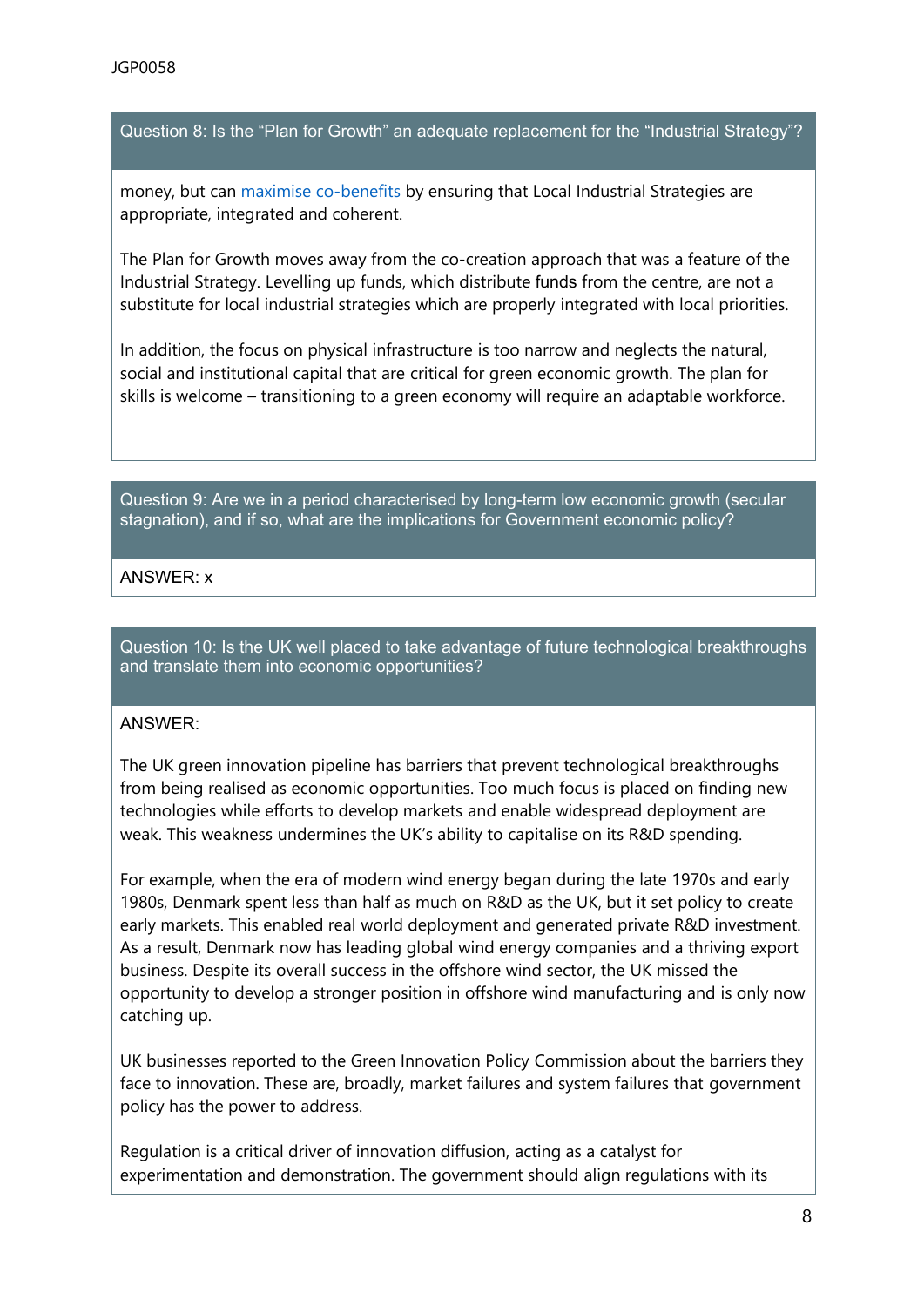Question 8: Is the "Plan for Growth" an adequate replacement for the "Industrial Strategy"?

money, but can [maximise](https://www.adeptnet.org.uk/sites/default/files/users/adeptadmin1/Blueprint%20for%20a%20green%20recovery_refresh_Dec%202020_4.pdf) [co-benefits](https://www.adeptnet.org.uk/sites/default/files/users/adeptadmin1/Blueprint%20for%20a%20green%20recovery_refresh_Dec%202020_4.pdf) by ensuring that Local Industrial Strategies are appropriate, integrated and coherent.

The Plan for Growth moves away from the co-creation approach that was a feature of the Industrial Strategy. Levelling up funds, which distribute funds from the centre, are not a substitute for local industrial strategies which are properly integrated with local priorities.

In addition, the focus on physical infrastructure is too narrow and neglects the natural, social and institutional capital that are critical for green economic growth. The plan for skills is welcome – transitioning to a green economy will require an adaptable workforce.

Question 9: Are we in a period characterised by long-term low economic growth (secular stagnation), and if so, what are the implications for Government economic policy?

## ANSWER: x

Question 10: Is the UK well placed to take advantage of future technological breakthroughs and translate them into economic opportunities?

## ANSWER:

The UK green innovation pipeline has barriers that prevent technological breakthroughs from being realised as economic opportunities. Too much focus is placed on finding new technologies while efforts to develop markets and enable widespread deployment are weak. This weakness undermines the UK's ability to capitalise on its R&D spending.

For example, when the era of modern wind energy began during the late 1970s and early 1980s, Denmark spent less than half as much on R&D as the UK, but it set policy to create early markets. This enabled real world deployment and generated private R&D investment. As a result, Denmark now has leading global wind energy companies and a thriving export business. Despite its overall success in the offshore wind sector, the UK missed the opportunity to develop a stronger position in offshore wind manufacturing and is only now catching up.

UK businesses reported to the Green Innovation Policy Commission about the barriers they face to innovation. These are, broadly, market failures and system failures that government policy has the power to address.

Regulation is a critical driver of innovation diffusion, acting as a catalyst for experimentation and demonstration. The government should align regulations with its